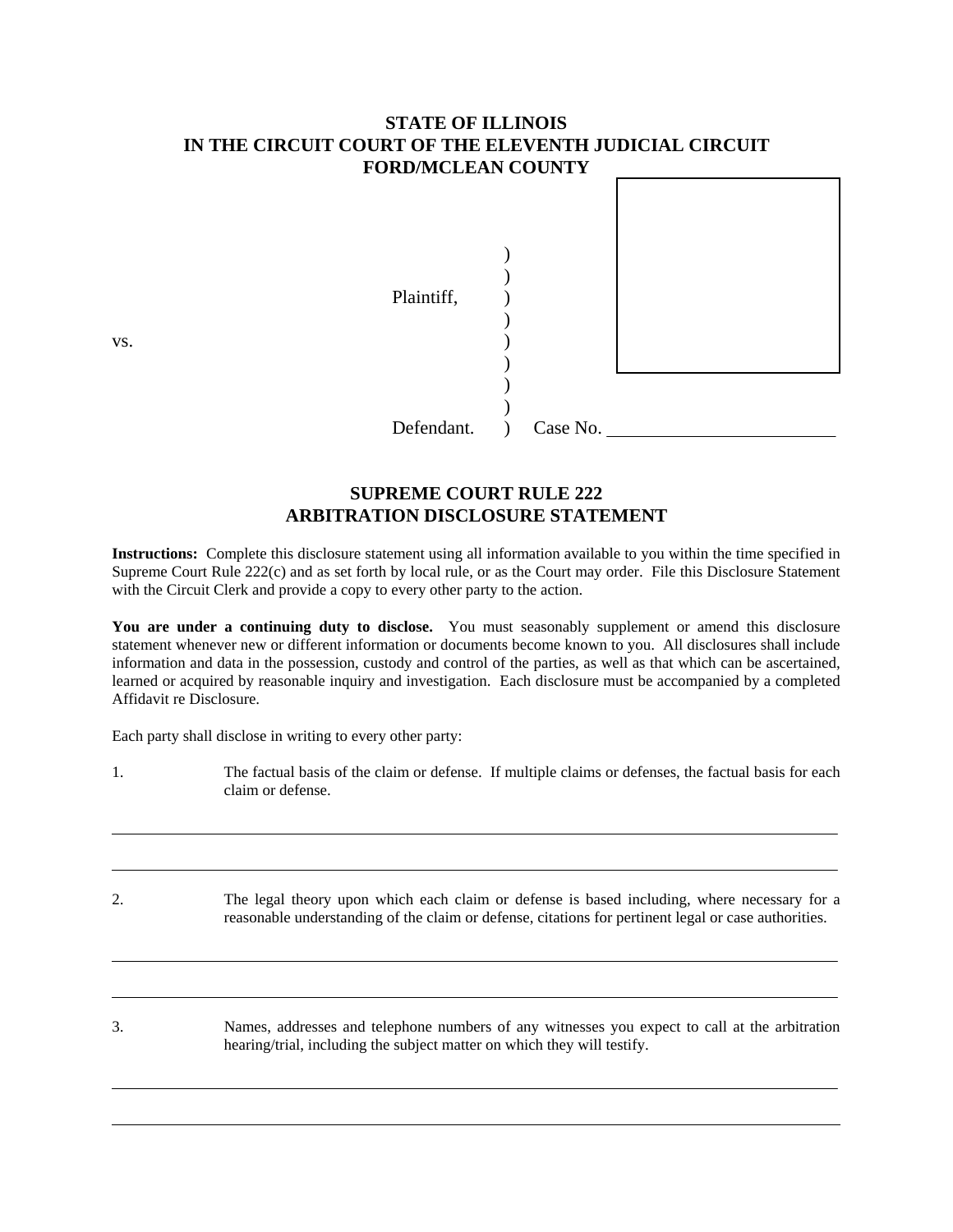# **STATE OF ILLINOIS IN THE CIRCUIT COURT OF THE ELEVENTH JUDICIAL CIRCUIT FORD/MCLEAN COUNTY**

| VS. | Plaintiff, |          |
|-----|------------|----------|
|     |            |          |
|     | Defendant. | Case No. |

# **SUPREME COURT RULE 222 ARBITRATION DISCLOSURE STATEMENT**

**Instructions:** Complete this disclosure statement using all information available to you within the time specified in Supreme Court Rule 222(c) and as set forth by local rule, or as the Court may order. File this Disclosure Statement with the Circuit Clerk and provide a copy to every other party to the action.

You are under a continuing duty to disclose. You must seasonably supplement or amend this disclosure statement whenever new or different information or documents become known to you. All disclosures shall include information and data in the possession, custody and control of the parties, as well as that which can be ascertained, learned or acquired by reasonable inquiry and investigation. Each disclosure must be accompanied by a completed Affidavit re Disclosure.

Each party shall disclose in writing to every other party:

| The factual basis of the claim or defense. If multiple claims or defenses, the factual basis for each |  |
|-------------------------------------------------------------------------------------------------------|--|
| claim or defense.                                                                                     |  |

2. The legal theory upon which each claim or defense is based including, where necessary for a reasonable understanding of the claim or defense, citations for pertinent legal or case authorities.

3. Names, addresses and telephone numbers of any witnesses you expect to call at the arbitration hearing/trial, including the subject matter on which they will testify.

 $\overline{a}$ 

l

l

 $\overline{a}$ 

 $\overline{a}$ 

l,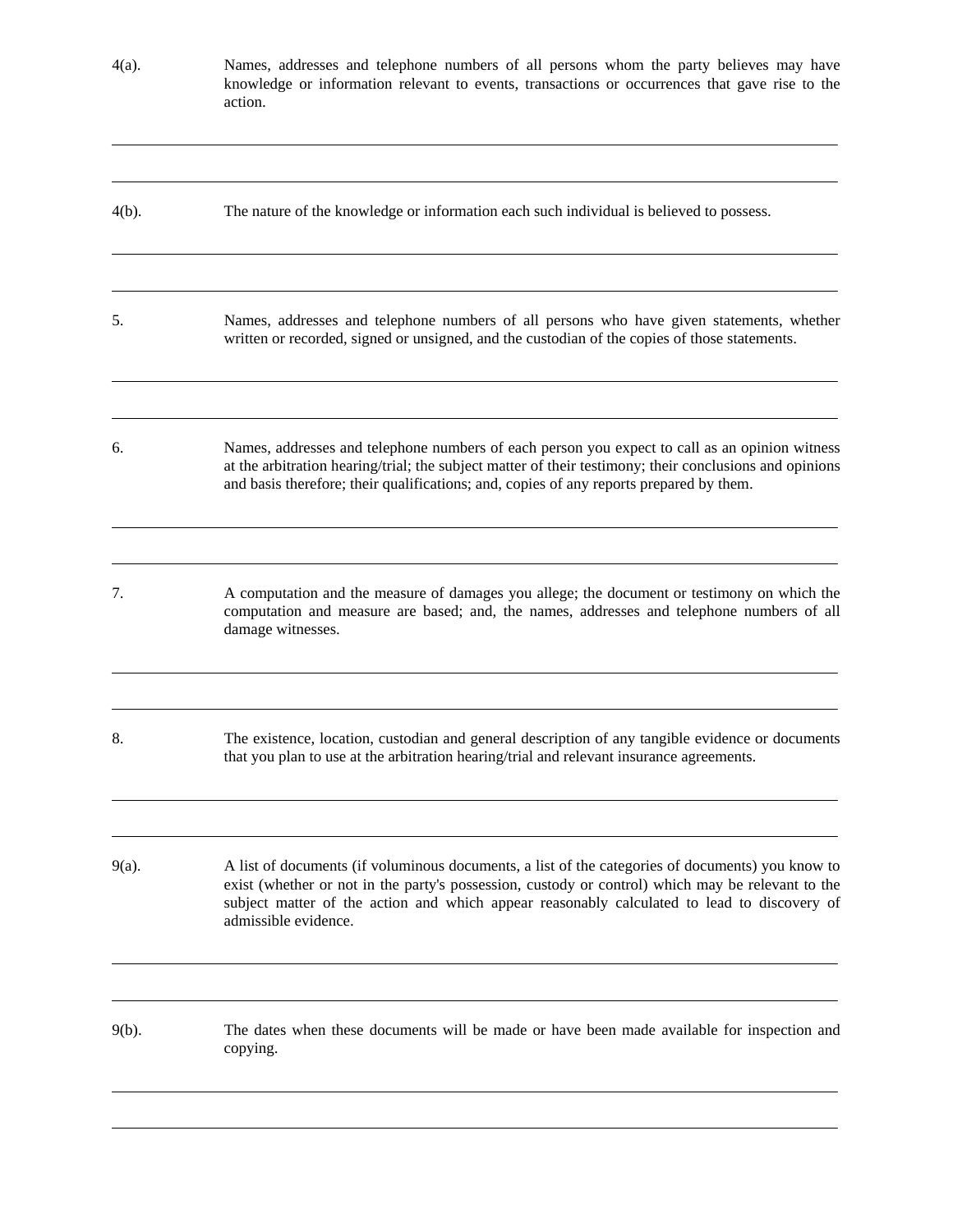| $4(a)$ . | Names, addresses and telephone numbers of all persons whom the party believes may have<br>knowledge or information relevant to events, transactions or occurrences that gave rise to the<br>action.                                                                                                                          |
|----------|------------------------------------------------------------------------------------------------------------------------------------------------------------------------------------------------------------------------------------------------------------------------------------------------------------------------------|
| $4(b)$ . | The nature of the knowledge or information each such individual is believed to possess.                                                                                                                                                                                                                                      |
| 5.       | Names, addresses and telephone numbers of all persons who have given statements, whether<br>written or recorded, signed or unsigned, and the custodian of the copies of those statements.                                                                                                                                    |
| 6.       | Names, addresses and telephone numbers of each person you expect to call as an opinion witness<br>at the arbitration hearing/trial; the subject matter of their testimony; their conclusions and opinions<br>and basis therefore; their qualifications; and, copies of any reports prepared by them.                         |
| 7.       | A computation and the measure of damages you allege; the document or testimony on which the<br>computation and measure are based; and, the names, addresses and telephone numbers of all<br>damage witnesses.                                                                                                                |
| 8.       | The existence, location, custodian and general description of any tangible evidence or documents<br>that you plan to use at the arbitration hearing/trial and relevant insurance agreements.                                                                                                                                 |
| $9(a)$ . | A list of documents (if voluminous documents, a list of the categories of documents) you know to<br>exist (whether or not in the party's possession, custody or control) which may be relevant to the<br>subject matter of the action and which appear reasonably calculated to lead to discovery of<br>admissible evidence. |
| $9(b)$ . | The dates when these documents will be made or have been made available for inspection and<br>copying.                                                                                                                                                                                                                       |

l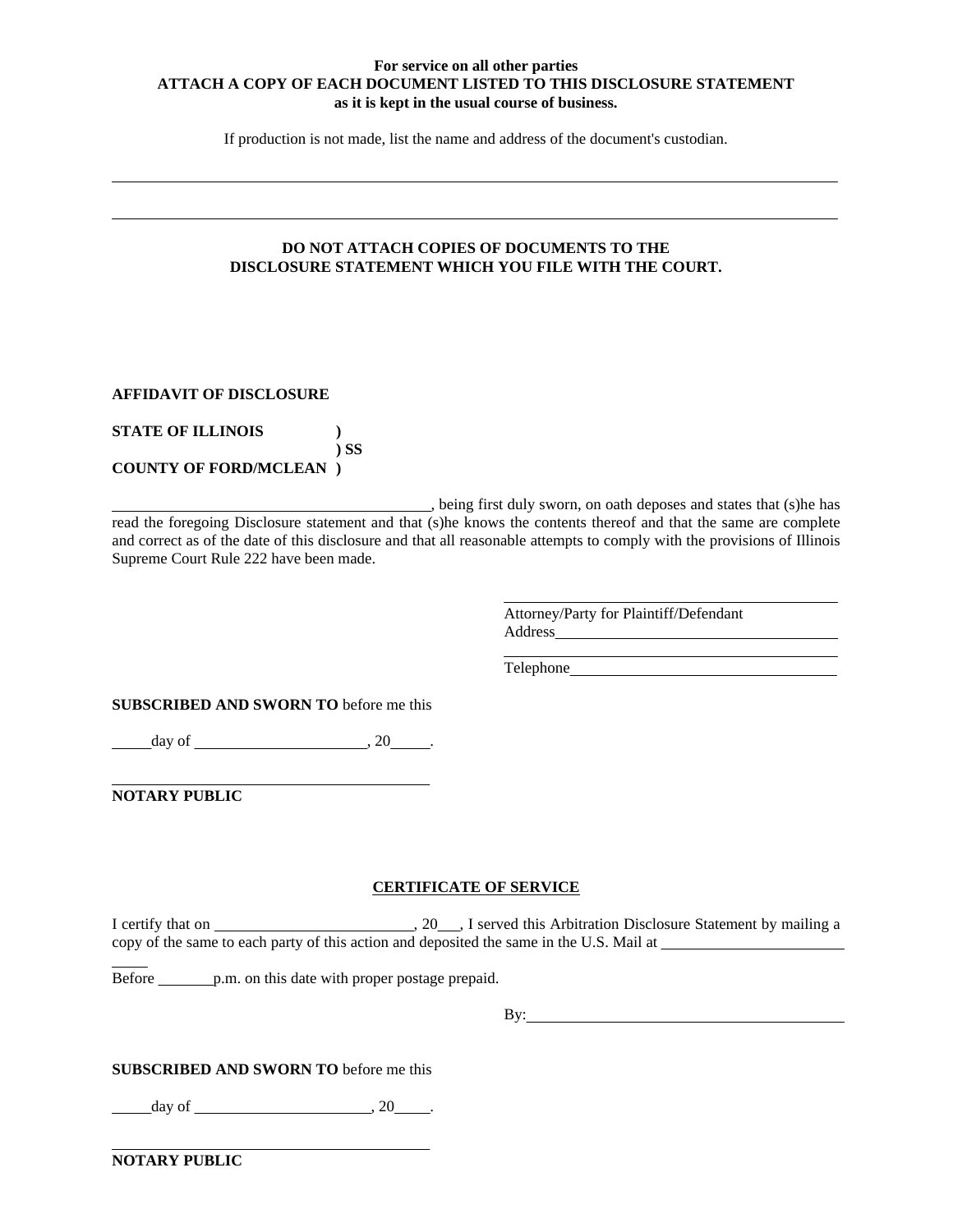### **For service on all other parties ATTACH A COPY OF EACH DOCUMENT LISTED TO THIS DISCLOSURE STATEMENT as it is kept in the usual course of business.**

If production is not made, list the name and address of the document's custodian.

### **DO NOT ATTACH COPIES OF DOCUMENTS TO THE DISCLOSURE STATEMENT WHICH YOU FILE WITH THE COURT.**

### **AFFIDAVIT OF DISCLOSURE**

 $\overline{a}$ 

l

| <b>STATE OF ILLINOIS</b>       |        |
|--------------------------------|--------|
|                                | $\sum$ |
| <b>COUNTY OF FORD/MCLEAN</b> ) |        |

, being first duly sworn, on oath deposes and states that (s)he has read the foregoing Disclosure statement and that (s)he knows the contents thereof and that the same are complete and correct as of the date of this disclosure and that all reasonable attempts to comply with the provisions of Illinois Supreme Court Rule 222 have been made.

 $\overline{a}$ 

 $\overline{a}$ 

Attorney/Party for Plaintiff/Defendant Address 

Telephone

**SUBSCRIBED AND SWORN TO** before me this

 $\frac{\text{day of}}{\text{day of}}$ , 20  $\frac{\text{day of}}{\text{day of}}$ 

**NOTARY PUBLIC**

 $\overline{a}$ 

 $\overline{a}$ 

l

#### **CERTIFICATE OF SERVICE**

I certify that on , 20 , I served this Arbitration Disclosure Statement by mailing a copy of the same to each party of this action and deposited the same in the U.S. Mail at

Before p.m. on this date with proper postage prepaid.

By:

### **SUBSCRIBED AND SWORN TO** before me this

day of  $\qquad \qquad , 20$ .

**NOTARY PUBLIC**